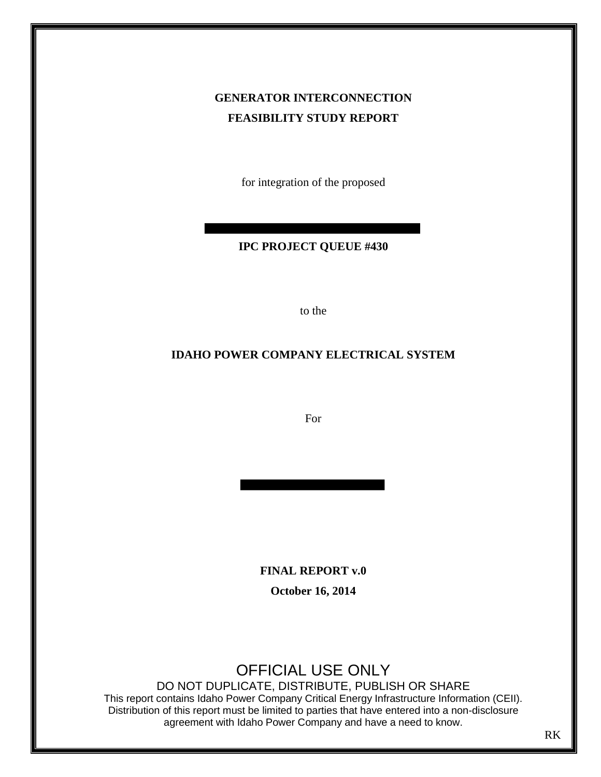# **GENERATOR INTERCONNECTION FEASIBILITY STUDY REPORT**

for integration of the proposed

# **IPC PROJECT QUEUE #430**

to the

# **IDAHO POWER COMPANY ELECTRICAL SYSTEM**

For

**FINAL REPORT v.0** 

**October 16, 2014** 

# OFFICIAL USE ONLY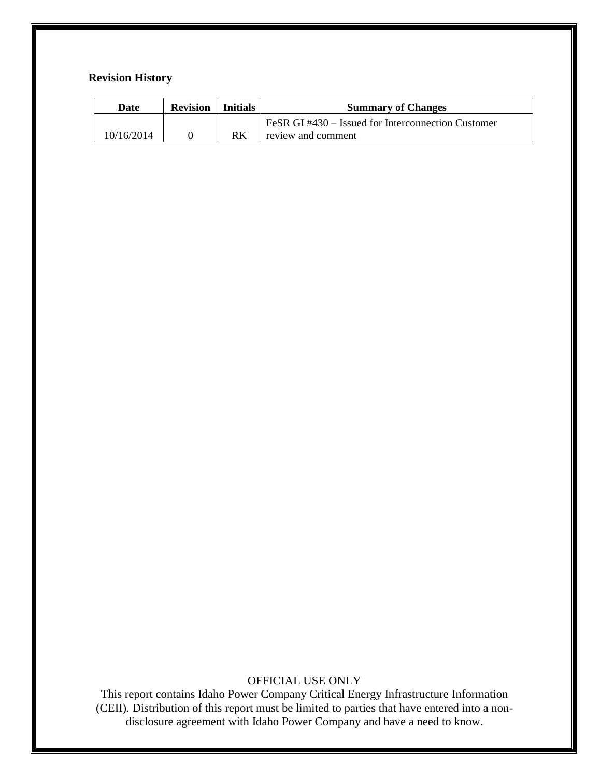# **Revision History**

| Date       | <b>Revision</b> | Initials | <b>Summary of Changes</b>                         |  |
|------------|-----------------|----------|---------------------------------------------------|--|
|            |                 |          | FeSR GI#430 – Issued for Interconnection Customer |  |
| 10/16/2014 |                 | RK       | review and comment                                |  |

# OFFICIAL USE ONLY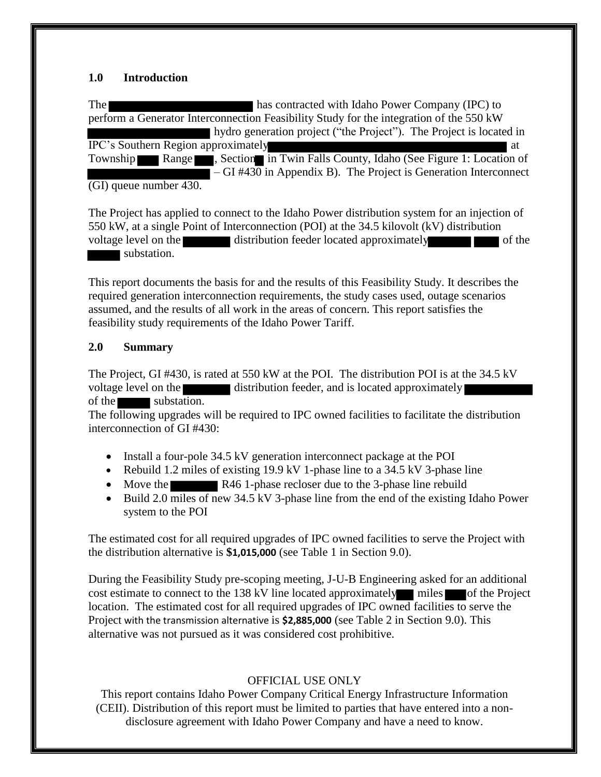# **1.0 Introduction**

The has contracted with Idaho Power Company (IPC) to perform a Generator Interconnection Feasibility Study for the integration of the 550 kW hydro generation project ("the Project"). The Project is located in IPC's Southern Region approximately at at at Township Range , Section in Twin Falls County, Idaho (See Figure 1: Location of – GI #430 in Appendix B). The Project is Generation Interconnect (GI) queue number 430.

The Project has applied to connect to the Idaho Power distribution system for an injection of 550 kW, at a single Point of Interconnection (POI) at the 34.5 kilovolt (kV) distribution voltage level on the distribution feeder located approximately distribution feeder located approximately substation.

This report documents the basis for and the results of this Feasibility Study. It describes the required generation interconnection requirements, the study cases used, outage scenarios assumed, and the results of all work in the areas of concern. This report satisfies the feasibility study requirements of the Idaho Power Tariff.

### **2.0 Summary**

The Project, GI #430, is rated at 550 kW at the POI. The distribution POI is at the 34.5 kV voltage level on the distribution feeder, and is located approximately of the substation.

The following upgrades will be required to IPC owned facilities to facilitate the distribution interconnection of GI #430:

- Install a four-pole 34.5 kV generation interconnect package at the POI
- Rebuild 1.2 miles of existing  $19.9 \text{ kV}$  1-phase line to a 34.5 kV 3-phase line
- Move the R46 1-phase recloser due to the 3-phase line rebuild
- Build 2.0 miles of new 34.5 kV 3-phase line from the end of the existing Idaho Power system to the POI

The estimated cost for all required upgrades of IPC owned facilities to serve the Project with the distribution alternative is **\$1,015,000** (see Table 1 in Section 9.0).

During the Feasibility Study pre-scoping meeting, J-U-B Engineering asked for an additional cost estimate to connect to the 138 kV line located approximately miles of the Project location. The estimated cost for all required upgrades of IPC owned facilities to serve the Project with the transmission alternative is **\$2,885,000** (see Table 2 in Section 9.0). This alternative was not pursued as it was considered cost prohibitive.

# OFFICIAL USE ONLY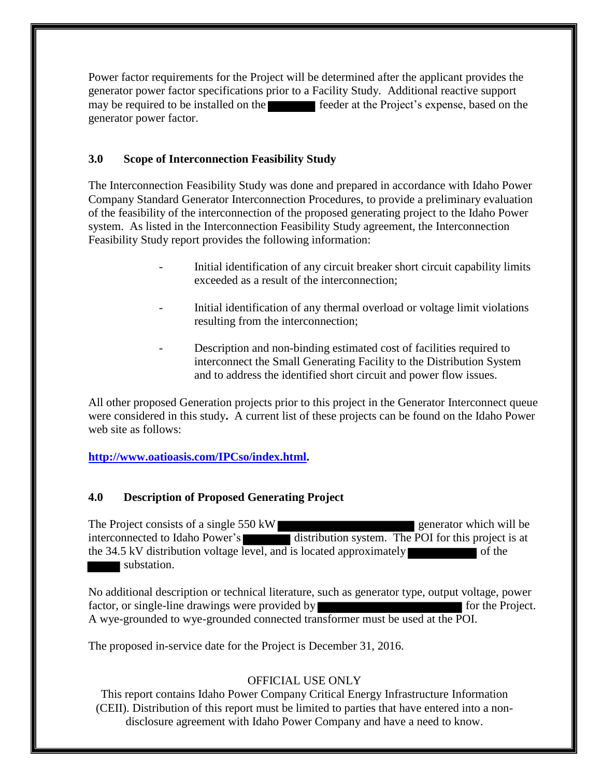Power factor requirements for the Project will be determined after the applicant provides the generator power factor specifications prior to a Facility Study. Additional reactive support may be required to be installed on the feeder at the Project's expense, based on the generator power factor.

# **3.0 Scope of Interconnection Feasibility Study**

The Interconnection Feasibility Study was done and prepared in accordance with Idaho Power Company Standard Generator Interconnection Procedures, to provide a preliminary evaluation of the feasibility of the interconnection of the proposed generating project to the Idaho Power system. As listed in the Interconnection Feasibility Study agreement, the Interconnection Feasibility Study report provides the following information:

- Initial identification of any circuit breaker short circuit capability limits exceeded as a result of the interconnection;
- Initial identification of any thermal overload or voltage limit violations resulting from the interconnection;
- Description and non-binding estimated cost of facilities required to interconnect the Small Generating Facility to the Distribution System and to address the identified short circuit and power flow issues.

All other proposed Generation projects prior to this project in the Generator Interconnect queue were considered in this study**.** A current list of these projects can be found on the Idaho Power web site as follows:

**[http://www.oatioasis.com/IPCso/index.html.](http://www.oatioasis.com/IPCso/index.html)**

# **4.0 Description of Proposed Generating Project**

The Project consists of a single 550 kW interconnected to Idaho Power's distribution system. The POI for this project is at the 34.5 kV distribution voltage level, and is located approximately  $\blacksquare$  of the substation.

No additional description or technical literature, such as generator type, output voltage, power factor, or single-line drawings were provided by form of the Project. A wye-grounded to wye-grounded connected transformer must be used at the POI.

The proposed in-service date for the Project is December 31, 2016.

# OFFICIAL USE ONLY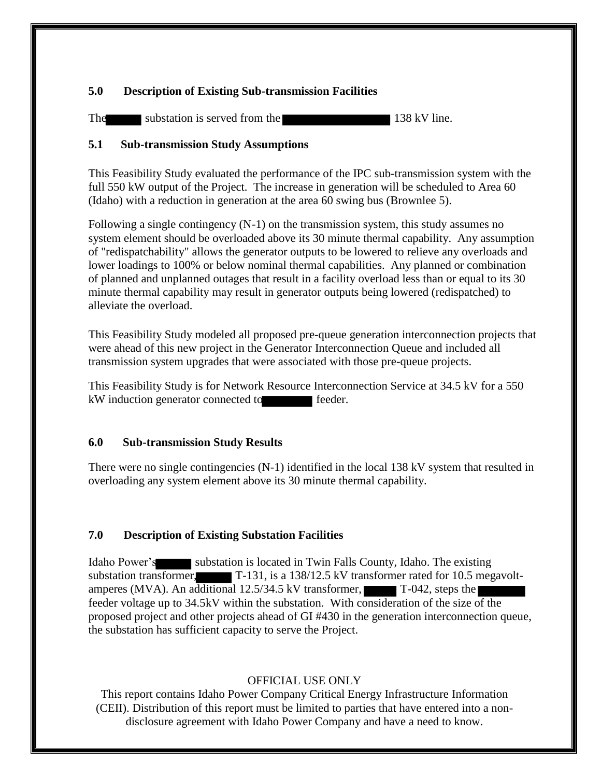# **5.0 Description of Existing Sub-transmission Facilities**

The substation is served from the 138 kV line.

# **5.1 Sub-transmission Study Assumptions**

This Feasibility Study evaluated the performance of the IPC sub-transmission system with the full 550 kW output of the Project. The increase in generation will be scheduled to Area 60 (Idaho) with a reduction in generation at the area 60 swing bus (Brownlee 5).

Following a single contingency (N-1) on the transmission system, this study assumes no system element should be overloaded above its 30 minute thermal capability. Any assumption of "redispatchability" allows the generator outputs to be lowered to relieve any overloads and lower loadings to 100% or below nominal thermal capabilities. Any planned or combination of planned and unplanned outages that result in a facility overload less than or equal to its 30 minute thermal capability may result in generator outputs being lowered (redispatched) to alleviate the overload.

This Feasibility Study modeled all proposed pre-queue generation interconnection projects that were ahead of this new project in the Generator Interconnection Queue and included all transmission system upgrades that were associated with those pre-queue projects.

This Feasibility Study is for Network Resource Interconnection Service at 34.5 kV for a 550 kW induction generator connected to feeder.

# **6.0 Sub-transmission Study Results**

There were no single contingencies (N-1) identified in the local 138 kV system that resulted in overloading any system element above its 30 minute thermal capability.

# **7.0 Description of Existing Substation Facilities**

Idaho Power's substation is located in Twin Falls County, Idaho. The existing substation transformer, T-131, is a 138/12.5 kV transformer rated for 10.5 megavoltamperes (MVA). An additional 12.5/34.5 kV transformer, T-042, steps the feeder voltage up to 34.5kV within the substation. With consideration of the size of the proposed project and other projects ahead of GI #430 in the generation interconnection queue, the substation has sufficient capacity to serve the Project.

# OFFICIAL USE ONLY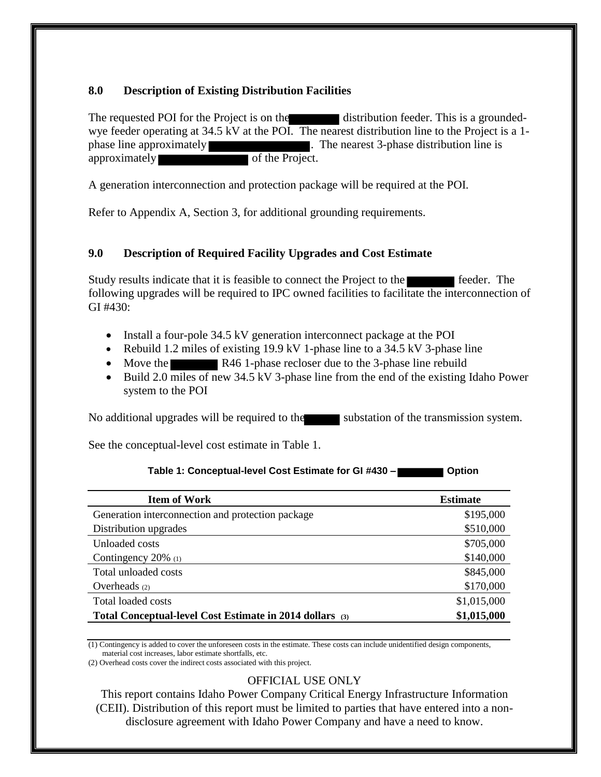# **8.0 Description of Existing Distribution Facilities**

The requested POI for the Project is on the distribution feeder. This is a groundedwye feeder operating at 34.5 kV at the POI. The nearest distribution line to the Project is a 1 phase line approximately . The nearest 3-phase distribution line is approximately of the Project.

A generation interconnection and protection package will be required at the POI.

Refer to Appendix A, Section 3, for additional grounding requirements.

# **9.0 Description of Required Facility Upgrades and Cost Estimate**

Study results indicate that it is feasible to connect the Project to the feeder. The following upgrades will be required to IPC owned facilities to facilitate the interconnection of  $GI$  #430:

- Install a four-pole 34.5 kV generation interconnect package at the POI
- Rebuild 1.2 miles of existing 19.9 kV 1-phase line to a 34.5 kV 3-phase line
- Move the R46 1-phase recloser due to the 3-phase line rebuild
- Build 2.0 miles of new 34.5 kV 3-phase line from the end of the existing Idaho Power system to the POI

No additional upgrades will be required to the substation of the transmission system.

See the conceptual-level cost estimate in Table 1.

#### Table 1: Conceptual-level Cost Estimate for GI #430 –

| <b>Item of Work</b>                                      | <b>Estimate</b> |
|----------------------------------------------------------|-----------------|
| Generation interconnection and protection package        | \$195,000       |
| Distribution upgrades                                    | \$510,000       |
| Unloaded costs                                           | \$705,000       |
| Contingency $20\%$ (1)                                   | \$140,000       |
| Total unloaded costs                                     | \$845,000       |
| Overheads (2)                                            | \$170,000       |
| Total loaded costs                                       | \$1,015,000     |
| Total Conceptual-level Cost Estimate in 2014 dollars (3) | \$1,015,000     |

(1) Contingency is added to cover the unforeseen costs in the estimate. These costs can include unidentified design components, material cost increases, labor estimate shortfalls, etc.

(2) Overhead costs cover the indirect costs associated with this project.

# OFFICIAL USE ONLY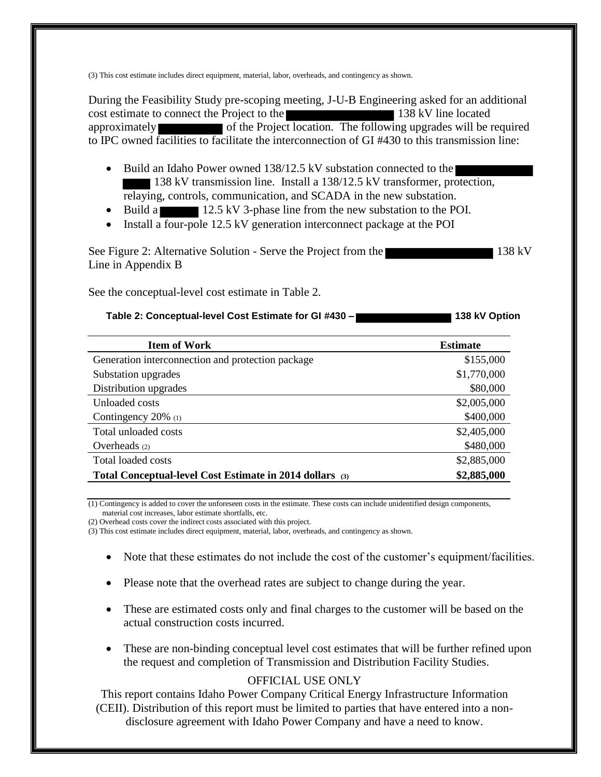(3) This cost estimate includes direct equipment, material, labor, overheads, and contingency as shown.

During the Feasibility Study pre-scoping meeting, J-U-B Engineering asked for an additional cost estimate to connect the Project to the 138 kV line located approximately of the Project location. The following upgrades will be required to IPC owned facilities to facilitate the interconnection of GI #430 to this transmission line:

- Build an Idaho Power owned 138/12.5 kV substation connected to the 138 kV transmission line. Install a 138/12.5 kV transformer, protection, relaying, controls, communication, and SCADA in the new substation.
- Build a 12.5 kV 3-phase line from the new substation to the POI.
- Install a four-pole 12.5 kV generation interconnect package at the POI

See Figure 2: Alternative Solution - Serve the Project from the 138 kV Line in Appendix B

See the conceptual-level cost estimate in Table 2.

#### **Table 2: Conceptual-level Cost Estimate for GI #430 – 138 kV Option 138 kV Option**

| <b>Item of Work</b>                                      | <b>Estimate</b> |
|----------------------------------------------------------|-----------------|
| Generation interconnection and protection package        | \$155,000       |
| Substation upgrades                                      | \$1,770,000     |
| Distribution upgrades                                    | \$80,000        |
| Unloaded costs                                           | \$2,005,000     |
| Contingency $20\%$ (1)                                   | \$400,000       |
| Total unloaded costs                                     | \$2,405,000     |
| Overheads $(2)$                                          | \$480,000       |
| Total loaded costs                                       | \$2,885,000     |
| Total Conceptual-level Cost Estimate in 2014 dollars (3) | \$2,885,000     |

(1) Contingency is added to cover the unforeseen costs in the estimate. These costs can include unidentified design components, material cost increases, labor estimate shortfalls, etc.

(2) Overhead costs cover the indirect costs associated with this project.

(3) This cost estimate includes direct equipment, material, labor, overheads, and contingency as shown.

- Note that these estimates do not include the cost of the customer's equipment/facilities.
- Please note that the overhead rates are subject to change during the year.
- These are estimated costs only and final charges to the customer will be based on the actual construction costs incurred.
- These are non-binding conceptual level cost estimates that will be further refined upon the request and completion of Transmission and Distribution Facility Studies.

# OFFICIAL USE ONLY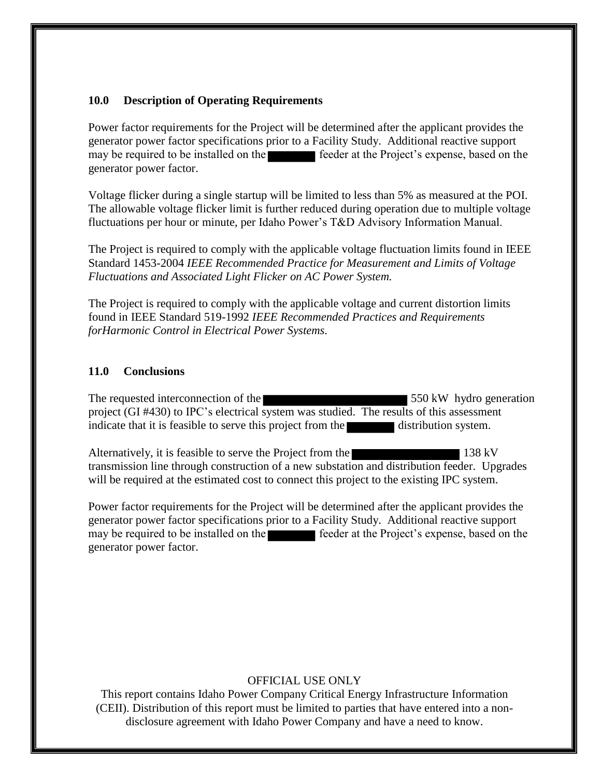### **10.0 Description of Operating Requirements**

Power factor requirements for the Project will be determined after the applicant provides the generator power factor specifications prior to a Facility Study. Additional reactive support may be required to be installed on the feeder at the Project's expense, based on the generator power factor.

Voltage flicker during a single startup will be limited to less than 5% as measured at the POI. The allowable voltage flicker limit is further reduced during operation due to multiple voltage fluctuations per hour or minute, per Idaho Power's T&D Advisory Information Manual.

The Project is required to comply with the applicable voltage fluctuation limits found in IEEE Standard 1453-2004 *IEEE Recommended Practice for Measurement and Limits of Voltage Fluctuations and Associated Light Flicker on AC Power System.* 

The Project is required to comply with the applicable voltage and current distortion limits found in IEEE Standard 519-1992 *IEEE Recommended Practices and Requirements forHarmonic Control in Electrical Power Systems.* 

#### **11.0 Conclusions**

The requested interconnection of the 550 kW hydro generation project (GI #430) to IPC's electrical system was studied. The results of this assessment indicate that it is feasible to serve this project from the distribution system.

Alternatively, it is feasible to serve the Project from the 138 kV transmission line through construction of a new substation and distribution feeder. Upgrades will be required at the estimated cost to connect this project to the existing IPC system.

Power factor requirements for the Project will be determined after the applicant provides the generator power factor specifications prior to a Facility Study. Additional reactive support may be required to be installed on the feeder at the Project's expense, based on the generator power factor.

# OFFICIAL USE ONLY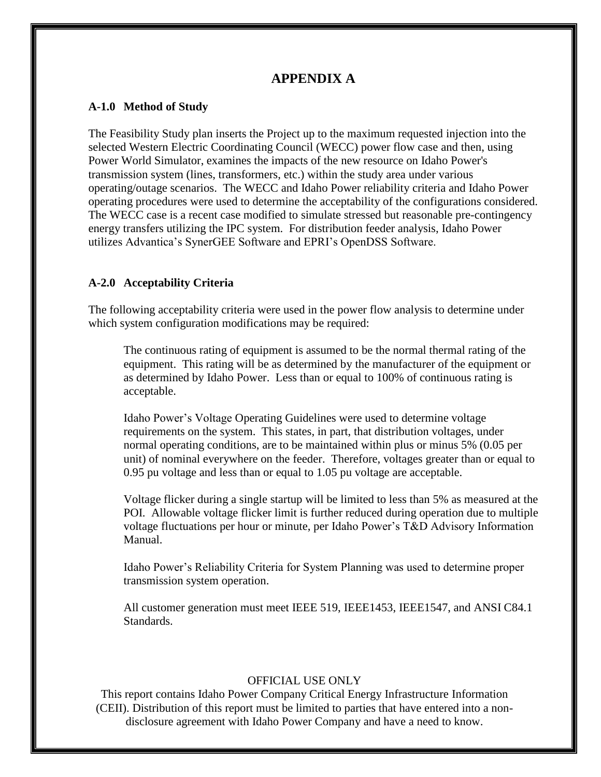# **APPENDIX A**

#### **A-1.0 Method of Study**

The Feasibility Study plan inserts the Project up to the maximum requested injection into the selected Western Electric Coordinating Council (WECC) power flow case and then, using Power World Simulator, examines the impacts of the new resource on Idaho Power's transmission system (lines, transformers, etc.) within the study area under various operating/outage scenarios. The WECC and Idaho Power reliability criteria and Idaho Power operating procedures were used to determine the acceptability of the configurations considered. The WECC case is a recent case modified to simulate stressed but reasonable pre-contingency energy transfers utilizing the IPC system. For distribution feeder analysis, Idaho Power utilizes Advantica's SynerGEE Software and EPRI's OpenDSS Software.

### **A-2.0 Acceptability Criteria**

The following acceptability criteria were used in the power flow analysis to determine under which system configuration modifications may be required:

The continuous rating of equipment is assumed to be the normal thermal rating of the equipment. This rating will be as determined by the manufacturer of the equipment or as determined by Idaho Power. Less than or equal to 100% of continuous rating is acceptable.

Idaho Power's Voltage Operating Guidelines were used to determine voltage requirements on the system. This states, in part, that distribution voltages, under normal operating conditions, are to be maintained within plus or minus 5% (0.05 per unit) of nominal everywhere on the feeder. Therefore, voltages greater than or equal to 0.95 pu voltage and less than or equal to 1.05 pu voltage are acceptable.

Voltage flicker during a single startup will be limited to less than 5% as measured at the POI. Allowable voltage flicker limit is further reduced during operation due to multiple voltage fluctuations per hour or minute, per Idaho Power's T&D Advisory Information Manual.

Idaho Power's Reliability Criteria for System Planning was used to determine proper transmission system operation.

All customer generation must meet IEEE 519, IEEE1453, IEEE1547, and ANSI C84.1 Standards.

#### OFFICIAL USE ONLY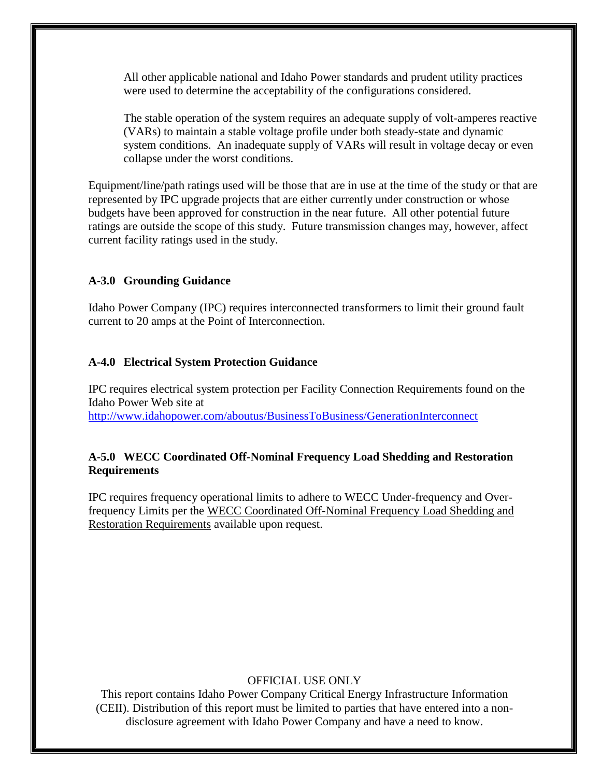All other applicable national and Idaho Power standards and prudent utility practices were used to determine the acceptability of the configurations considered.

The stable operation of the system requires an adequate supply of volt-amperes reactive (VARs) to maintain a stable voltage profile under both steady-state and dynamic system conditions. An inadequate supply of VARs will result in voltage decay or even collapse under the worst conditions.

Equipment/line/path ratings used will be those that are in use at the time of the study or that are represented by IPC upgrade projects that are either currently under construction or whose budgets have been approved for construction in the near future. All other potential future ratings are outside the scope of this study. Future transmission changes may, however, affect current facility ratings used in the study.

# **A-3.0 Grounding Guidance**

Idaho Power Company (IPC) requires interconnected transformers to limit their ground fault current to 20 amps at the Point of Interconnection.

# **A-4.0 Electrical System Protection Guidance**

IPC requires electrical system protection per Facility Connection Requirements found on the Idaho Power Web site at <http://www.idahopower.com/aboutus/BusinessToBusiness/GenerationInterconnect>

# **A-5.0 WECC Coordinated Off-Nominal Frequency Load Shedding and Restoration Requirements**

IPC requires frequency operational limits to adhere to WECC Under-frequency and Overfrequency Limits per the WECC Coordinated Off-Nominal Frequency Load Shedding and Restoration Requirements available upon request.

# OFFICIAL USE ONLY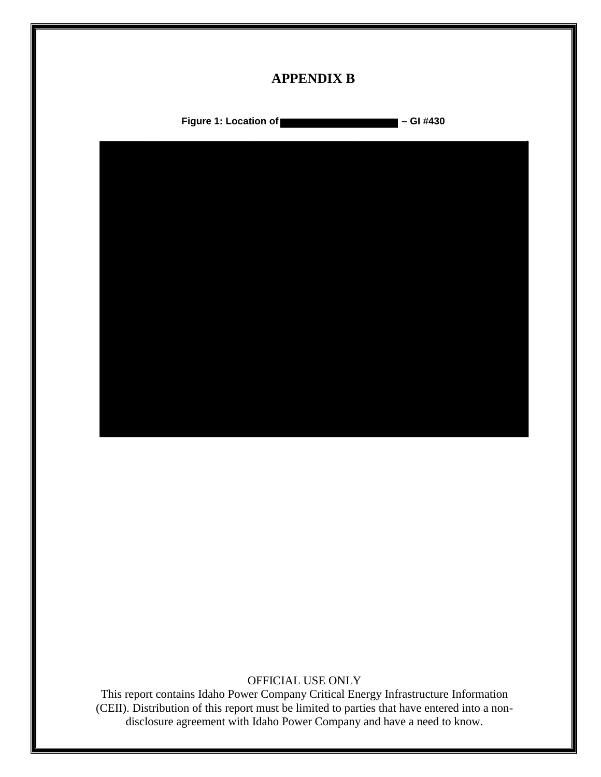